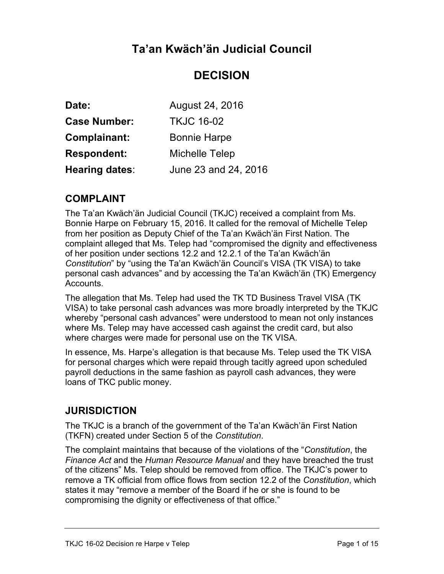# **Ta'an Kwäch'än Judicial Council**

# **DECISION**

| Date:                 | August 24, 2016       |
|-----------------------|-----------------------|
| <b>Case Number:</b>   | <b>TKJC 16-02</b>     |
| <b>Complainant:</b>   | <b>Bonnie Harpe</b>   |
| <b>Respondent:</b>    | <b>Michelle Telep</b> |
| <b>Hearing dates:</b> | June 23 and 24, 2016  |

## **COMPLAINT**

The Ta'an Kwäch'än Judicial Council (TKJC) received a complaint from Ms. Bonnie Harpe on February 15, 2016. It called for the removal of Michelle Telep from her position as Deputy Chief of the Ta'an Kwäch'än First Nation. The complaint alleged that Ms. Telep had "compromised the dignity and effectiveness of her position under sections 12.2 and 12.2.1 of the Ta'an Kwäch'än *Constitution*" by "using the Ta'an Kwäch'än Council's VISA (TK VISA) to take personal cash advances" and by accessing the Ta'an Kwäch'än (TK) Emergency Accounts.

The allegation that Ms. Telep had used the TK TD Business Travel VISA (TK VISA) to take personal cash advances was more broadly interpreted by the TKJC whereby "personal cash advances" were understood to mean not only instances where Ms. Telep may have accessed cash against the credit card, but also where charges were made for personal use on the TK VISA.

In essence, Ms. Harpe's allegation is that because Ms. Telep used the TK VISA for personal charges which were repaid through tacitly agreed upon scheduled payroll deductions in the same fashion as payroll cash advances, they were loans of TKC public money.

## **JURISDICTION**

The TKJC is a branch of the government of the Ta'an Kwäch'än First Nation (TKFN) created under Section 5 of the *Constitution*.

The complaint maintains that because of the violations of the "*Constitution*, the *Finance Act* and the *Human Resource Manual* and they have breached the trust of the citizens" Ms. Telep should be removed from office. The TKJC's power to remove a TK official from office flows from section 12.2 of the *Constitution*, which states it may "remove a member of the Board if he or she is found to be compromising the dignity or effectiveness of that office."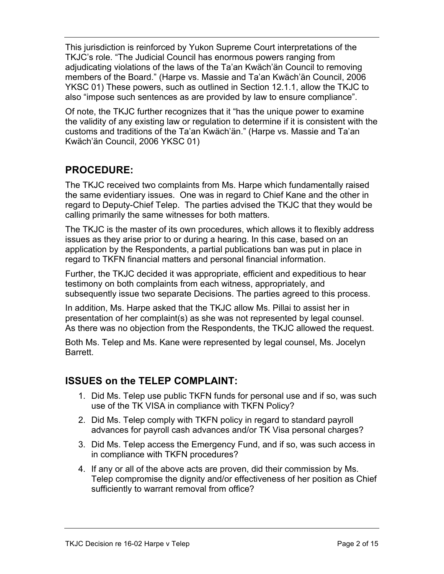This jurisdiction is reinforced by Yukon Supreme Court interpretations of the TKJC's role. "The Judicial Council has enormous powers ranging from adjudicating violations of the laws of the Ta'an Kwäch'än Council to removing members of the Board." (Harpe vs. Massie and Ta'an Kwäch'än Council, 2006 YKSC 01) These powers, such as outlined in Section 12.1.1, allow the TKJC to also "impose such sentences as are provided by law to ensure compliance".

Of note, the TKJC further recognizes that it "has the unique power to examine the validity of any existing law or regulation to determine if it is consistent with the customs and traditions of the Ta'an Kwäch'än." (Harpe vs. Massie and Ta'an Kwäch'än Council, 2006 YKSC 01)

## **PROCEDURE:**

The TKJC received two complaints from Ms. Harpe which fundamentally raised the same evidentiary issues. One was in regard to Chief Kane and the other in regard to Deputy-Chief Telep. The parties advised the TKJC that they would be calling primarily the same witnesses for both matters.

The TKJC is the master of its own procedures, which allows it to flexibly address issues as they arise prior to or during a hearing. In this case, based on an application by the Respondents, a partial publications ban was put in place in regard to TKFN financial matters and personal financial information.

Further, the TKJC decided it was appropriate, efficient and expeditious to hear testimony on both complaints from each witness, appropriately, and subsequently issue two separate Decisions. The parties agreed to this process.

In addition, Ms. Harpe asked that the TKJC allow Ms. Pillai to assist her in presentation of her complaint(s) as she was not represented by legal counsel. As there was no objection from the Respondents, the TKJC allowed the request.

Both Ms. Telep and Ms. Kane were represented by legal counsel, Ms. Jocelyn Barrett.

## **ISSUES on the TELEP COMPLAINT:**

- 1. Did Ms. Telep use public TKFN funds for personal use and if so, was such use of the TK VISA in compliance with TKFN Policy?
- 2. Did Ms. Telep comply with TKFN policy in regard to standard payroll advances for payroll cash advances and/or TK Visa personal charges?
- 3. Did Ms. Telep access the Emergency Fund, and if so, was such access in in compliance with TKFN procedures?
- 4. If any or all of the above acts are proven, did their commission by Ms. Telep compromise the dignity and/or effectiveness of her position as Chief sufficiently to warrant removal from office?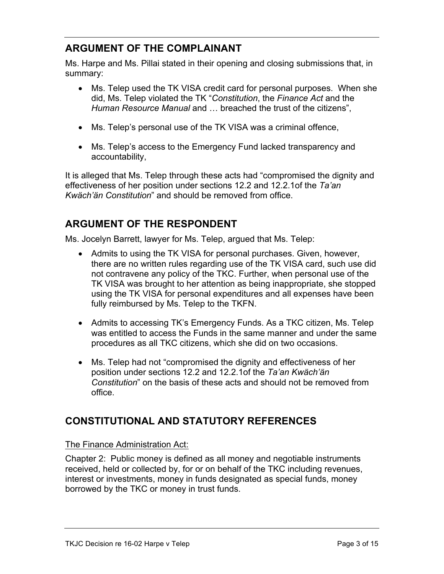## **ARGUMENT OF THE COMPLAINANT**

Ms. Harpe and Ms. Pillai stated in their opening and closing submissions that, in summary:

- Ms. Telep used the TK VISA credit card for personal purposes. When she did, Ms. Telep violated the TK "*Constitution*, the *Finance Act* and the *Human Resource Manual* and … breached the trust of the citizens",
- Ms. Telep's personal use of the TK VISA was a criminal offence,
- Ms. Telep's access to the Emergency Fund lacked transparency and accountability,

It is alleged that Ms. Telep through these acts had "compromised the dignity and effectiveness of her position under sections 12.2 and 12.2.1of the *Ta'an Kwäch'än Constitution*" and should be removed from office.

# **ARGUMENT OF THE RESPONDENT**

Ms. Jocelyn Barrett, lawyer for Ms. Telep, argued that Ms. Telep:

- Admits to using the TK VISA for personal purchases. Given, however, there are no written rules regarding use of the TK VISA card, such use did not contravene any policy of the TKC. Further, when personal use of the TK VISA was brought to her attention as being inappropriate, she stopped using the TK VISA for personal expenditures and all expenses have been fully reimbursed by Ms. Telep to the TKFN.
- Admits to accessing TK's Emergency Funds. As a TKC citizen, Ms. Telep was entitled to access the Funds in the same manner and under the same procedures as all TKC citizens, which she did on two occasions.
- Ms. Telep had not "compromised the dignity and effectiveness of her position under sections 12.2 and 12.2.1of the *Ta'an Kwäch'än Constitution*" on the basis of these acts and should not be removed from office.

# **CONSTITUTIONAL AND STATUTORY REFERENCES**

### The Finance Administration Act:

Chapter 2: Public money is defined as all money and negotiable instruments received, held or collected by, for or on behalf of the TKC including revenues, interest or investments, money in funds designated as special funds, money borrowed by the TKC or money in trust funds.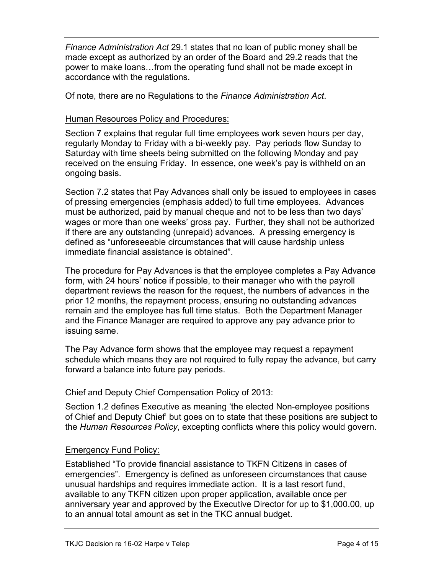*Finance Administration Act* 29.1 states that no loan of public money shall be made except as authorized by an order of the Board and 29.2 reads that the power to make loans…from the operating fund shall not be made except in accordance with the regulations.

Of note, there are no Regulations to the *Finance Administration Act*.

#### Human Resources Policy and Procedures:

Section 7 explains that regular full time employees work seven hours per day, regularly Monday to Friday with a bi-weekly pay. Pay periods flow Sunday to Saturday with time sheets being submitted on the following Monday and pay received on the ensuing Friday. In essence, one week's pay is withheld on an ongoing basis.

Section 7.2 states that Pay Advances shall only be issued to employees in cases of pressing emergencies (emphasis added) to full time employees. Advances must be authorized, paid by manual cheque and not to be less than two days' wages or more than one weeks' gross pay. Further, they shall not be authorized if there are any outstanding (unrepaid) advances. A pressing emergency is defined as "unforeseeable circumstances that will cause hardship unless immediate financial assistance is obtained".

The procedure for Pay Advances is that the employee completes a Pay Advance form, with 24 hours' notice if possible, to their manager who with the payroll department reviews the reason for the request, the numbers of advances in the prior 12 months, the repayment process, ensuring no outstanding advances remain and the employee has full time status. Both the Department Manager and the Finance Manager are required to approve any pay advance prior to issuing same.

The Pay Advance form shows that the employee may request a repayment schedule which means they are not required to fully repay the advance, but carry forward a balance into future pay periods.

### Chief and Deputy Chief Compensation Policy of 2013:

Section 1.2 defines Executive as meaning 'the elected Non-employee positions of Chief and Deputy Chief' but goes on to state that these positions are subject to the *Human Resources Policy*, excepting conflicts where this policy would govern.

#### Emergency Fund Policy:

Established "To provide financial assistance to TKFN Citizens in cases of emergencies". Emergency is defined as unforeseen circumstances that cause unusual hardships and requires immediate action. It is a last resort fund, available to any TKFN citizen upon proper application, available once per anniversary year and approved by the Executive Director for up to \$1,000.00, up to an annual total amount as set in the TKC annual budget.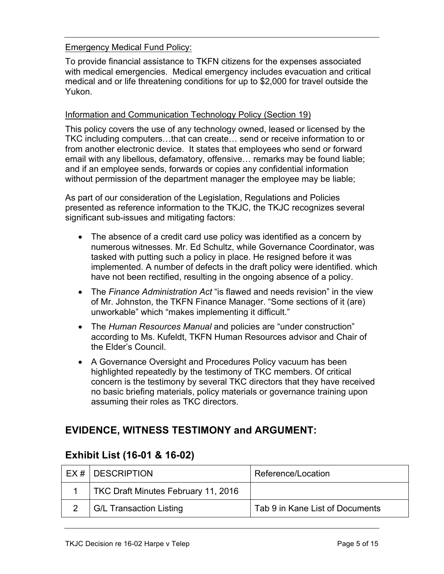#### Emergency Medical Fund Policy:

To provide financial assistance to TKFN citizens for the expenses associated with medical emergencies. Medical emergency includes evacuation and critical medical and or life threatening conditions for up to \$2,000 for travel outside the Yukon.

#### Information and Communication Technology Policy (Section 19)

This policy covers the use of any technology owned, leased or licensed by the TKC including computers…that can create… send or receive information to or from another electronic device. It states that employees who send or forward email with any libellous, defamatory, offensive… remarks may be found liable; and if an employee sends, forwards or copies any confidential information without permission of the department manager the employee may be liable;

As part of our consideration of the Legislation, Regulations and Policies presented as reference information to the TKJC, the TKJC recognizes several significant sub-issues and mitigating factors:

- The absence of a credit card use policy was identified as a concern by numerous witnesses. Mr. Ed Schultz, while Governance Coordinator, was tasked with putting such a policy in place. He resigned before it was implemented. A number of defects in the draft policy were identified. which have not been rectified, resulting in the ongoing absence of a policy.
- The *Finance Administration Act* "is flawed and needs revision" in the view of Mr. Johnston, the TKFN Finance Manager. "Some sections of it (are) unworkable" which "makes implementing it difficult."
- The *Human Resources Manual* and policies are "under construction" according to Ms. Kufeldt, TKFN Human Resources advisor and Chair of the Elder's Council.
- A Governance Oversight and Procedures Policy vacuum has been highlighted repeatedly by the testimony of TKC members. Of critical concern is the testimony by several TKC directors that they have received no basic briefing materials, policy materials or governance training upon assuming their roles as TKC directors.

## **EVIDENCE, WITNESS TESTIMONY and ARGUMENT:**

| EX #   DESCRIPTION                  | Reference/Location              |
|-------------------------------------|---------------------------------|
| TKC Draft Minutes February 11, 2016 |                                 |
| <b>G/L Transaction Listing</b>      | Tab 9 in Kane List of Documents |

## **Exhibit List (16-01 & 16-02)**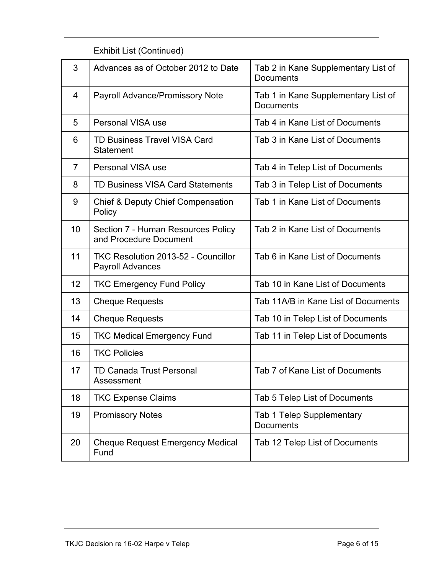| 3              | Advances as of October 2012 to Date                                   | Tab 2 in Kane Supplementary List of<br><b>Documents</b> |
|----------------|-----------------------------------------------------------------------|---------------------------------------------------------|
| 4              | <b>Payroll Advance/Promissory Note</b>                                | Tab 1 in Kane Supplementary List of<br><b>Documents</b> |
| 5              | Personal VISA use                                                     | Tab 4 in Kane List of Documents                         |
| 6              | <b>TD Business Travel VISA Card</b><br><b>Statement</b>               | Tab 3 in Kane List of Documents                         |
| $\overline{7}$ | Personal VISA use                                                     | Tab 4 in Telep List of Documents                        |
| 8              | <b>TD Business VISA Card Statements</b>                               | Tab 3 in Telep List of Documents                        |
| 9              | <b>Chief &amp; Deputy Chief Compensation</b><br>Policy                | Tab 1 in Kane List of Documents                         |
| 10             | Section 7 - Human Resources Policy<br>and Procedure Document          | Tab 2 in Kane List of Documents                         |
| 11             | <b>TKC Resolution 2013-52 - Councillor</b><br><b>Payroll Advances</b> | Tab 6 in Kane List of Documents                         |
| 12             | <b>TKC Emergency Fund Policy</b>                                      | Tab 10 in Kane List of Documents                        |
| 13             | <b>Cheque Requests</b>                                                | Tab 11A/B in Kane List of Documents                     |
| 14             | <b>Cheque Requests</b>                                                | Tab 10 in Telep List of Documents                       |
| 15             | <b>TKC Medical Emergency Fund</b>                                     | Tab 11 in Telep List of Documents                       |
| 16             | <b>TKC Policies</b>                                                   |                                                         |
| 17             | <b>TD Canada Trust Personal</b><br>Assessment                         | Tab 7 of Kane List of Documents                         |
| 18             | <b>TKC Expense Claims</b>                                             | Tab 5 Telep List of Documents                           |
| 19             | <b>Promissory Notes</b>                                               | <b>Tab 1 Telep Supplementary</b><br><b>Documents</b>    |
| 20             | <b>Cheque Request Emergency Medical</b><br>Fund                       | Tab 12 Telep List of Documents                          |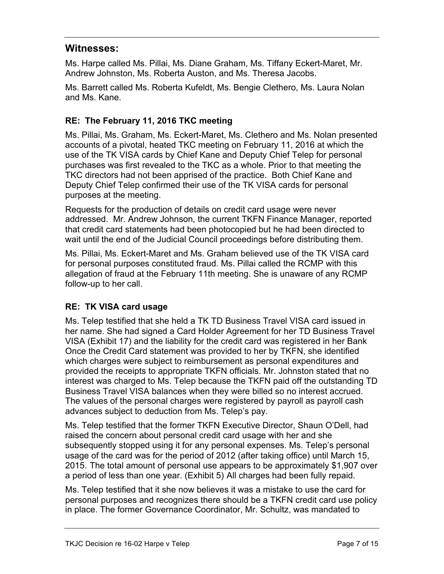## **Witnesses:**

Ms. Harpe called Ms. Pillai, Ms. Diane Graham, Ms. Tiffany Eckert-Maret, Mr. Andrew Johnston, Ms. Roberta Auston, and Ms. Theresa Jacobs.

Ms. Barrett called Ms. Roberta Kufeldt, Ms. Bengie Clethero, Ms. Laura Nolan and Ms. Kane.

## **RE: The February 11, 2016 TKC meeting**

Ms. Pillai, Ms. Graham, Ms. Eckert-Maret, Ms. Clethero and Ms. Nolan presented accounts of a pivotal, heated TKC meeting on February 11, 2016 at which the use of the TK VISA cards by Chief Kane and Deputy Chief Telep for personal purchases was first revealed to the TKC as a whole. Prior to that meeting the TKC directors had not been apprised of the practice. Both Chief Kane and Deputy Chief Telep confirmed their use of the TK VISA cards for personal purposes at the meeting.

Requests for the production of details on credit card usage were never addressed. Mr. Andrew Johnson, the current TKFN Finance Manager, reported that credit card statements had been photocopied but he had been directed to wait until the end of the Judicial Council proceedings before distributing them.

Ms. Pillai, Ms. Eckert-Maret and Ms. Graham believed use of the TK VISA card for personal purposes constituted fraud. Ms. Pillai called the RCMP with this allegation of fraud at the February 11th meeting. She is unaware of any RCMP follow-up to her call.

## **RE: TK VISA card usage**

Ms. Telep testified that she held a TK TD Business Travel VISA card issued in her name. She had signed a Card Holder Agreement for her TD Business Travel VISA (Exhibit 17) and the liability for the credit card was registered in her Bank Once the Credit Card statement was provided to her by TKFN, she identified which charges were subject to reimbursement as personal expenditures and provided the receipts to appropriate TKFN officials. Mr. Johnston stated that no interest was charged to Ms. Telep because the TKFN paid off the outstanding TD Business Travel VISA balances when they were billed so no interest accrued. The values of the personal charges were registered by payroll as payroll cash advances subject to deduction from Ms. Telep's pay.

Ms. Telep testified that the former TKFN Executive Director, Shaun O'Dell, had raised the concern about personal credit card usage with her and she subsequently stopped using it for any personal expenses. Ms. Telep's personal usage of the card was for the period of 2012 (after taking office) until March 15, 2015. The total amount of personal use appears to be approximately \$1,907 over a period of less than one year. (Exhibit 5) All charges had been fully repaid.

Ms. Telep testified that it she now believes it was a mistake to use the card for personal purposes and recognizes there should be a TKFN credit card use policy in place. The former Governance Coordinator, Mr. Schultz, was mandated to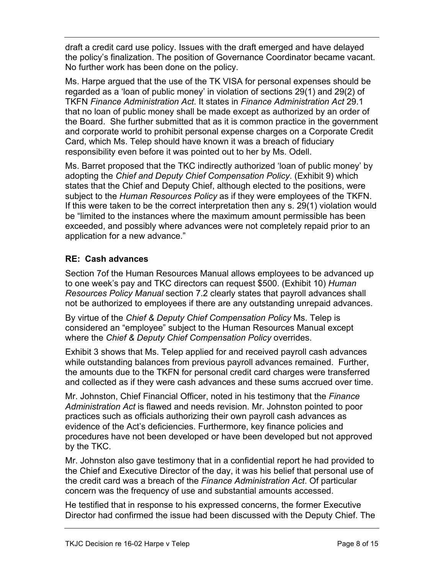draft a credit card use policy. Issues with the draft emerged and have delayed the policy's finalization. The position of Governance Coordinator became vacant. No further work has been done on the policy.

Ms. Harpe argued that the use of the TK VISA for personal expenses should be regarded as a 'loan of public money' in violation of sections 29(1) and 29(2) of TKFN *Finance Administration Act*. It states in *Finance Administration Act* 29.1 that no loan of public money shall be made except as authorized by an order of the Board. She further submitted that as it is common practice in the government and corporate world to prohibit personal expense charges on a Corporate Credit Card, which Ms. Telep should have known it was a breach of fiduciary responsibility even before it was pointed out to her by Ms. Odell.

Ms. Barret proposed that the TKC indirectly authorized 'loan of public money' by adopting the *Chief and Deputy Chief Compensation Policy*. (Exhibit 9) which states that the Chief and Deputy Chief, although elected to the positions, were subject to the *Human Resources Policy* as if they were employees of the TKFN. If this were taken to be the correct interpretation then any s. 29(1) violation would be "limited to the instances where the maximum amount permissible has been exceeded, and possibly where advances were not completely repaid prior to an application for a new advance."

## **RE: Cash advances**

Section 7of the Human Resources Manual allows employees to be advanced up to one week's pay and TKC directors can request \$500. (Exhibit 10) *Human Resources Policy Manual* section 7.2 clearly states that payroll advances shall not be authorized to employees if there are any outstanding unrepaid advances.

By virtue of the *Chief & Deputy Chief Compensation Policy* Ms. Telep is considered an "employee" subject to the Human Resources Manual except where the *Chief & Deputy Chief Compensation Policy* overrides.

Exhibit 3 shows that Ms. Telep applied for and received payroll cash advances while outstanding balances from previous payroll advances remained. Further, the amounts due to the TKFN for personal credit card charges were transferred and collected as if they were cash advances and these sums accrued over time.

Mr. Johnston, Chief Financial Officer, noted in his testimony that the *Finance Administration Act* is flawed and needs revision. Mr. Johnston pointed to poor practices such as officials authorizing their own payroll cash advances as evidence of the Act's deficiencies. Furthermore, key finance policies and procedures have not been developed or have been developed but not approved by the TKC.

Mr. Johnston also gave testimony that in a confidential report he had provided to the Chief and Executive Director of the day, it was his belief that personal use of the credit card was a breach of the *Finance Administration Act*. Of particular concern was the frequency of use and substantial amounts accessed.

He testified that in response to his expressed concerns, the former Executive Director had confirmed the issue had been discussed with the Deputy Chief. The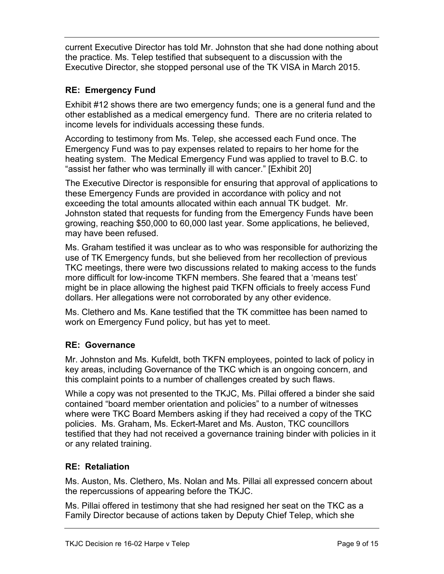current Executive Director has told Mr. Johnston that she had done nothing about the practice. Ms. Telep testified that subsequent to a discussion with the Executive Director, she stopped personal use of the TK VISA in March 2015.

### **RE: Emergency Fund**

Exhibit #12 shows there are two emergency funds; one is a general fund and the other established as a medical emergency fund. There are no criteria related to income levels for individuals accessing these funds.

According to testimony from Ms. Telep, she accessed each Fund once. The Emergency Fund was to pay expenses related to repairs to her home for the heating system. The Medical Emergency Fund was applied to travel to B.C. to "assist her father who was terminally ill with cancer." [Exhibit 20]

The Executive Director is responsible for ensuring that approval of applications to these Emergency Funds are provided in accordance with policy and not exceeding the total amounts allocated within each annual TK budget. Mr. Johnston stated that requests for funding from the Emergency Funds have been growing, reaching \$50,000 to 60,000 last year. Some applications, he believed, may have been refused.

Ms. Graham testified it was unclear as to who was responsible for authorizing the use of TK Emergency funds, but she believed from her recollection of previous TKC meetings, there were two discussions related to making access to the funds more difficult for low-income TKFN members. She feared that a 'means test' might be in place allowing the highest paid TKFN officials to freely access Fund dollars. Her allegations were not corroborated by any other evidence.

Ms. Clethero and Ms. Kane testified that the TK committee has been named to work on Emergency Fund policy, but has yet to meet.

### **RE: Governance**

Mr. Johnston and Ms. Kufeldt, both TKFN employees, pointed to lack of policy in key areas, including Governance of the TKC which is an ongoing concern, and this complaint points to a number of challenges created by such flaws.

While a copy was not presented to the TKJC, Ms. Pillai offered a binder she said contained "board member orientation and policies" to a number of witnesses where were TKC Board Members asking if they had received a copy of the TKC policies. Ms. Graham, Ms. Eckert-Maret and Ms. Auston, TKC councillors testified that they had not received a governance training binder with policies in it or any related training.

### **RE: Retaliation**

Ms. Auston, Ms. Clethero, Ms. Nolan and Ms. Pillai all expressed concern about the repercussions of appearing before the TKJC.

Ms. Pillai offered in testimony that she had resigned her seat on the TKC as a Family Director because of actions taken by Deputy Chief Telep, which she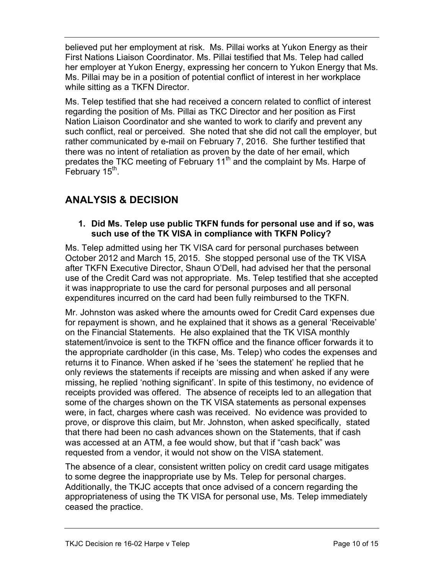believed put her employment at risk. Ms. Pillai works at Yukon Energy as their First Nations Liaison Coordinator. Ms. Pillai testified that Ms. Telep had called her employer at Yukon Energy, expressing her concern to Yukon Energy that Ms. Ms. Pillai may be in a position of potential conflict of interest in her workplace while sitting as a TKFN Director.

Ms. Telep testified that she had received a concern related to conflict of interest regarding the position of Ms. Pillai as TKC Director and her position as First Nation Liaison Coordinator and she wanted to work to clarify and prevent any such conflict, real or perceived. She noted that she did not call the employer, but rather communicated by e-mail on February 7, 2016. She further testified that there was no intent of retaliation as proven by the date of her email, which predates the TKC meeting of February 11<sup>th</sup> and the complaint by Ms. Harpe of February  $15<sup>th</sup>$ .

# **ANALYSIS & DECISION**

#### **1. Did Ms. Telep use public TKFN funds for personal use and if so, was such use of the TK VISA in compliance with TKFN Policy?**

Ms. Telep admitted using her TK VISA card for personal purchases between October 2012 and March 15, 2015. She stopped personal use of the TK VISA after TKFN Executive Director, Shaun O'Dell, had advised her that the personal use of the Credit Card was not appropriate. Ms. Telep testified that she accepted it was inappropriate to use the card for personal purposes and all personal expenditures incurred on the card had been fully reimbursed to the TKFN.

Mr. Johnston was asked where the amounts owed for Credit Card expenses due for repayment is shown, and he explained that it shows as a general 'Receivable' on the Financial Statements. He also explained that the TK VISA monthly statement/invoice is sent to the TKFN office and the finance officer forwards it to the appropriate cardholder (in this case, Ms. Telep) who codes the expenses and returns it to Finance. When asked if he 'sees the statement' he replied that he only reviews the statements if receipts are missing and when asked if any were missing, he replied 'nothing significant'. In spite of this testimony, no evidence of receipts provided was offered. The absence of receipts led to an allegation that some of the charges shown on the TK VISA statements as personal expenses were, in fact, charges where cash was received. No evidence was provided to prove, or disprove this claim, but Mr. Johnston, when asked specifically, stated that there had been no cash advances shown on the Statements, that if cash was accessed at an ATM, a fee would show, but that if "cash back" was requested from a vendor, it would not show on the VISA statement.

The absence of a clear, consistent written policy on credit card usage mitigates to some degree the inappropriate use by Ms. Telep for personal charges. Additionally, the TKJC accepts that once advised of a concern regarding the appropriateness of using the TK VISA for personal use, Ms. Telep immediately ceased the practice.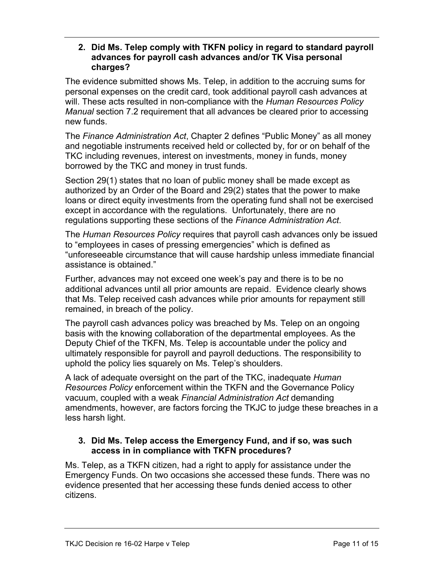#### **2. Did Ms. Telep comply with TKFN policy in regard to standard payroll advances for payroll cash advances and/or TK Visa personal charges?**

The evidence submitted shows Ms. Telep, in addition to the accruing sums for personal expenses on the credit card, took additional payroll cash advances at will. These acts resulted in non-compliance with the *Human Resources Policy Manual* section 7.2 requirement that all advances be cleared prior to accessing new funds.

The *Finance Administration Act*, Chapter 2 defines "Public Money" as all money and negotiable instruments received held or collected by, for or on behalf of the TKC including revenues, interest on investments, money in funds, money borrowed by the TKC and money in trust funds.

Section 29(1) states that no loan of public money shall be made except as authorized by an Order of the Board and 29(2) states that the power to make loans or direct equity investments from the operating fund shall not be exercised except in accordance with the regulations. Unfortunately, there are no regulations supporting these sections of the *Finance Administration Act*.

The *Human Resources Policy* requires that payroll cash advances only be issued to "employees in cases of pressing emergencies" which is defined as "unforeseeable circumstance that will cause hardship unless immediate financial assistance is obtained."

Further, advances may not exceed one week's pay and there is to be no additional advances until all prior amounts are repaid. Evidence clearly shows that Ms. Telep received cash advances while prior amounts for repayment still remained, in breach of the policy.

The payroll cash advances policy was breached by Ms. Telep on an ongoing basis with the knowing collaboration of the departmental employees. As the Deputy Chief of the TKFN, Ms. Telep is accountable under the policy and ultimately responsible for payroll and payroll deductions. The responsibility to uphold the policy lies squarely on Ms. Telep's shoulders.

A lack of adequate oversight on the part of the TKC, inadequate *Human Resources Policy* enforcement within the TKFN and the Governance Policy vacuum, coupled with a weak *Financial Administration Act* demanding amendments, however, are factors forcing the TKJC to judge these breaches in a less harsh light.

### **3. Did Ms. Telep access the Emergency Fund, and if so, was such access in in compliance with TKFN procedures?**

Ms. Telep, as a TKFN citizen, had a right to apply for assistance under the Emergency Funds. On two occasions she accessed these funds. There was no evidence presented that her accessing these funds denied access to other citizens.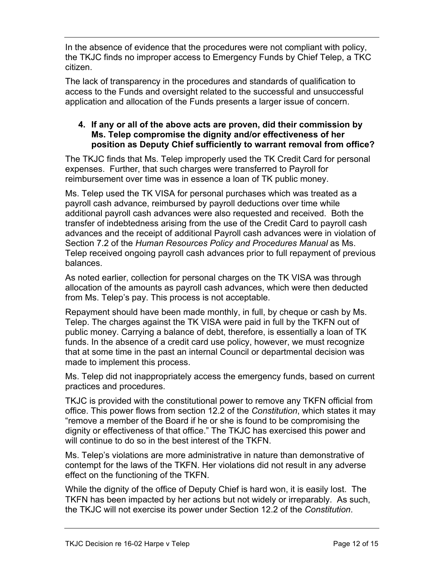In the absence of evidence that the procedures were not compliant with policy, the TKJC finds no improper access to Emergency Funds by Chief Telep, a TKC citizen.

The lack of transparency in the procedures and standards of qualification to access to the Funds and oversight related to the successful and unsuccessful application and allocation of the Funds presents a larger issue of concern.

### **4. If any or all of the above acts are proven, did their commission by Ms. Telep compromise the dignity and/or effectiveness of her position as Deputy Chief sufficiently to warrant removal from office?**

The TKJC finds that Ms. Telep improperly used the TK Credit Card for personal expenses. Further, that such charges were transferred to Payroll for reimbursement over time was in essence a loan of TK public money.

Ms. Telep used the TK VISA for personal purchases which was treated as a payroll cash advance, reimbursed by payroll deductions over time while additional payroll cash advances were also requested and received. Both the transfer of indebtedness arising from the use of the Credit Card to payroll cash advances and the receipt of additional Payroll cash advances were in violation of Section 7.2 of the *Human Resources Policy and Procedures Manual* as Ms. Telep received ongoing payroll cash advances prior to full repayment of previous balances.

As noted earlier, collection for personal charges on the TK VISA was through allocation of the amounts as payroll cash advances, which were then deducted from Ms. Telep's pay. This process is not acceptable.

Repayment should have been made monthly, in full, by cheque or cash by Ms. Telep. The charges against the TK VISA were paid in full by the TKFN out of public money. Carrying a balance of debt, therefore, is essentially a loan of TK funds. In the absence of a credit card use policy, however, we must recognize that at some time in the past an internal Council or departmental decision was made to implement this process.

Ms. Telep did not inappropriately access the emergency funds, based on current practices and procedures.

TKJC is provided with the constitutional power to remove any TKFN official from office. This power flows from section 12.2 of the *Constitution*, which states it may "remove a member of the Board if he or she is found to be compromising the dignity or effectiveness of that office." The TKJC has exercised this power and will continue to do so in the best interest of the TKFN.

Ms. Telep's violations are more administrative in nature than demonstrative of contempt for the laws of the TKFN. Her violations did not result in any adverse effect on the functioning of the TKFN.

While the dignity of the office of Deputy Chief is hard won, it is easily lost. The TKFN has been impacted by her actions but not widely or irreparably. As such, the TKJC will not exercise its power under Section 12.2 of the *Constitution*.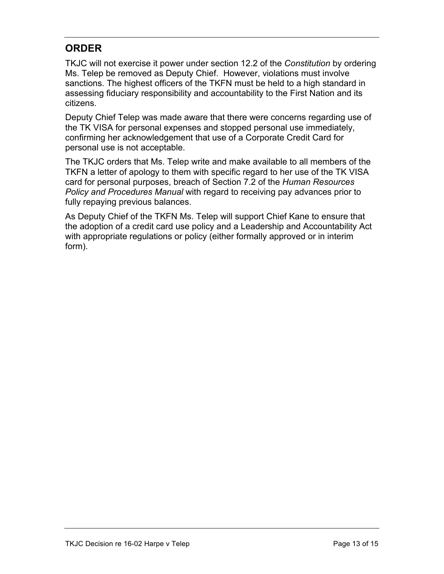# **ORDER**

TKJC will not exercise it power under section 12.2 of the *Constitution* by ordering Ms. Telep be removed as Deputy Chief. However, violations must involve sanctions. The highest officers of the TKFN must be held to a high standard in assessing fiduciary responsibility and accountability to the First Nation and its citizens.

Deputy Chief Telep was made aware that there were concerns regarding use of the TK VISA for personal expenses and stopped personal use immediately, confirming her acknowledgement that use of a Corporate Credit Card for personal use is not acceptable.

The TKJC orders that Ms. Telep write and make available to all members of the TKFN a letter of apology to them with specific regard to her use of the TK VISA card for personal purposes, breach of Section 7.2 of the *Human Resources Policy and Procedures Manual* with regard to receiving pay advances prior to fully repaying previous balances.

As Deputy Chief of the TKFN Ms. Telep will support Chief Kane to ensure that the adoption of a credit card use policy and a Leadership and Accountability Act with appropriate regulations or policy (either formally approved or in interim form).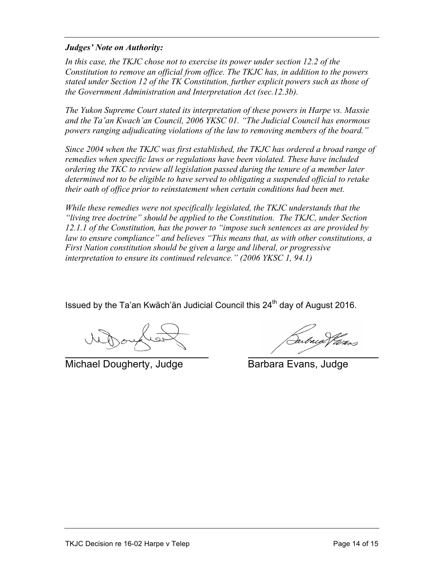#### *Judges' Note on Authority:*

In this case, the TKJC chose not to exercise its power under section 12.2 of the *Constitution to remove an official from office. The TKJC has, in addition to the powers stated under Section 12 of the TK Constitution, further explicit powers such as those of the Government Administration and Interpretation Act (sec.12.3b).* 

*The Yukon Supreme Court stated its interpretation of these powers in Harpe vs. Massie and the Ta'an Kwach'an Council, 2006 YKSC 01. "The Judicial Council has enormous powers ranging adjudicating violations of the law to removing members of the board."*

*Since 2004 when the TKJC was first established, the TKJC has ordered a broad range of remedies when specific laws or regulations have been violated. These have included ordering the TKC to review all legislation passed during the tenure of a member later determined not to be eligible to have served to obligating a suspended official to retake their oath of office prior to reinstatement when certain conditions had been met.* 

*While these remedies were not specifically legislated, the TKJC understands that the "living tree doctrine" should be applied to the Constitution. The TKJC, under Section 12.1.1 of the Constitution, has the power to "impose such sentences as are provided by law to ensure compliance" and believes "This means that, as with other constitutions, a First Nation constitution should be given a large and liberal, or progressive interpretation to ensure its continued relevance." (2006 YKSC 1, 94.1)* 

Issued by the Ta'an Kwäch'än Judicial Council this 24<sup>th</sup> day of August 2016.

Michael Dougherty, Judge Barbara Evans, Judge

abug V*áro*s